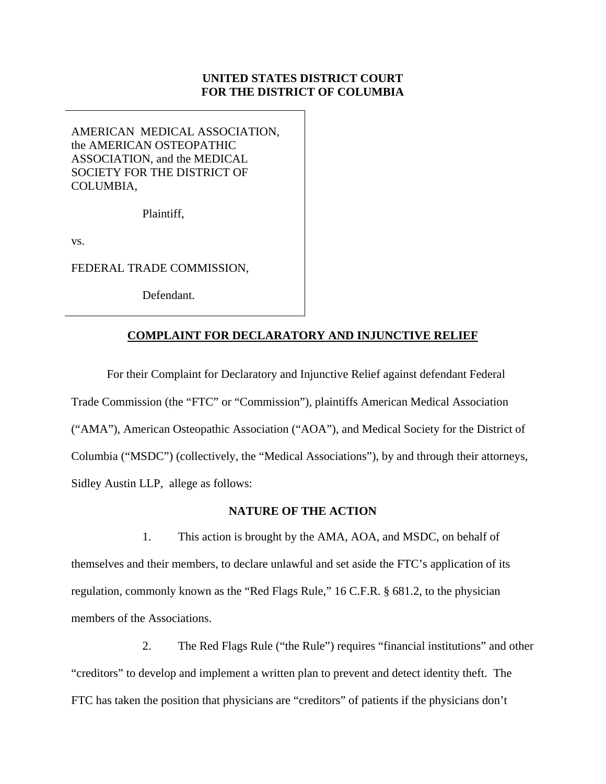# **UNITED STATES DISTRICT COURT FOR THE DISTRICT OF COLUMBIA**

AMERICAN MEDICAL ASSOCIATION, the AMERICAN OSTEOPATHIC ASSOCIATION, and the MEDICAL SOCIETY FOR THE DISTRICT OF COLUMBIA,

Plaintiff,

vs.

FEDERAL TRADE COMMISSION,

Defendant.

# **COMPLAINT FOR DECLARATORY AND INJUNCTIVE RELIEF**

For their Complaint for Declaratory and Injunctive Relief against defendant Federal Trade Commission (the "FTC" or "Commission"), plaintiffs American Medical Association ("AMA"), American Osteopathic Association ("AOA"), and Medical Society for the District of Columbia ("MSDC") (collectively, the "Medical Associations"), by and through their attorneys, Sidley Austin LLP, allege as follows:

### **NATURE OF THE ACTION**

1. This action is brought by the AMA, AOA, and MSDC, on behalf of themselves and their members, to declare unlawful and set aside the FTC's application of its regulation, commonly known as the "Red Flags Rule," 16 C.F.R. § 681.2, to the physician members of the Associations.

2. The Red Flags Rule ("the Rule") requires "financial institutions" and other "creditors" to develop and implement a written plan to prevent and detect identity theft. The FTC has taken the position that physicians are "creditors" of patients if the physicians don't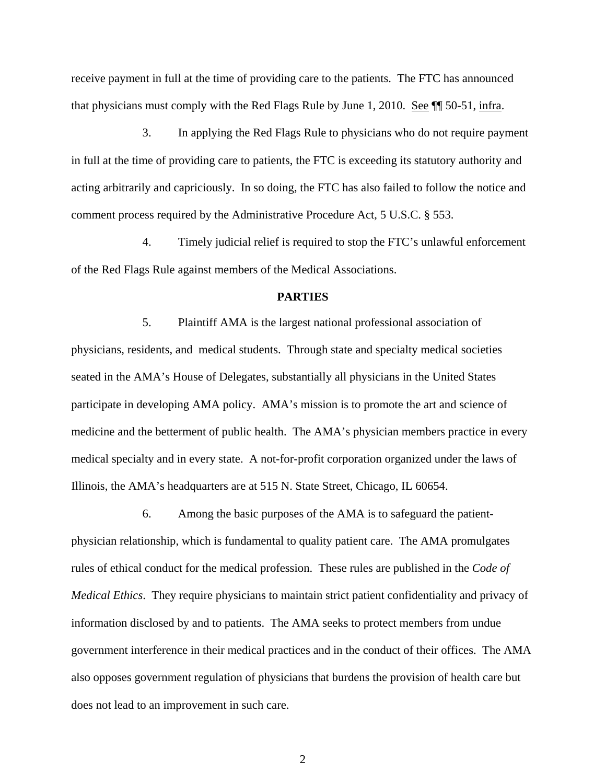receive payment in full at the time of providing care to the patients. The FTC has announced that physicians must comply with the Red Flags Rule by June 1, 2010. See ¶¶ 50-51, infra.

3. In applying the Red Flags Rule to physicians who do not require payment in full at the time of providing care to patients, the FTC is exceeding its statutory authority and acting arbitrarily and capriciously. In so doing, the FTC has also failed to follow the notice and comment process required by the Administrative Procedure Act, 5 U.S.C. § 553.

4. Timely judicial relief is required to stop the FTC's unlawful enforcement of the Red Flags Rule against members of the Medical Associations.

#### **PARTIES**

5. Plaintiff AMA is the largest national professional association of physicians, residents, and medical students. Through state and specialty medical societies seated in the AMA's House of Delegates, substantially all physicians in the United States participate in developing AMA policy. AMA's mission is to promote the art and science of medicine and the betterment of public health. The AMA's physician members practice in every medical specialty and in every state. A not-for-profit corporation organized under the laws of Illinois, the AMA's headquarters are at 515 N. State Street, Chicago, IL 60654.

6. Among the basic purposes of the AMA is to safeguard the patientphysician relationship, which is fundamental to quality patient care. The AMA promulgates rules of ethical conduct for the medical profession. These rules are published in the *Code of Medical Ethics*. They require physicians to maintain strict patient confidentiality and privacy of information disclosed by and to patients. The AMA seeks to protect members from undue government interference in their medical practices and in the conduct of their offices. The AMA also opposes government regulation of physicians that burdens the provision of health care but does not lead to an improvement in such care.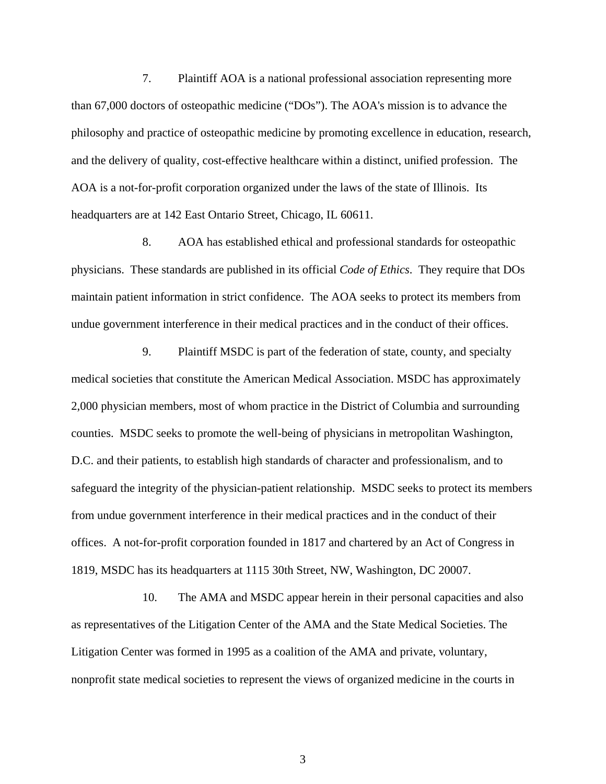7. Plaintiff AOA is a national professional association representing more than 67,000 doctors of osteopathic medicine ("DOs"). The AOA's mission is to advance the philosophy and practice of osteopathic medicine by promoting excellence in education, research, and the delivery of quality, cost-effective healthcare within a distinct, unified profession. The AOA is a not-for-profit corporation organized under the laws of the state of Illinois. Its headquarters are at 142 East Ontario Street, Chicago, IL 60611.

8. AOA has established ethical and professional standards for osteopathic physicians. These standards are published in its official *Code of Ethics*. They require that DOs maintain patient information in strict confidence. The AOA seeks to protect its members from undue government interference in their medical practices and in the conduct of their offices.

9. Plaintiff MSDC is part of the federation of state, county, and specialty medical societies that constitute the American Medical Association. MSDC has approximately 2,000 physician members, most of whom practice in the District of Columbia and surrounding counties. MSDC seeks to promote the well-being of physicians in metropolitan Washington, D.C. and their patients, to establish high standards of character and professionalism, and to safeguard the integrity of the physician-patient relationship. MSDC seeks to protect its members from undue government interference in their medical practices and in the conduct of their offices. A not-for-profit corporation founded in 1817 and chartered by an Act of Congress in 1819, MSDC has its headquarters at 1115 30th Street, NW, Washington, DC 20007.

10. The AMA and MSDC appear herein in their personal capacities and also as representatives of the Litigation Center of the AMA and the State Medical Societies. The Litigation Center was formed in 1995 as a coalition of the AMA and private, voluntary, nonprofit state medical societies to represent the views of organized medicine in the courts in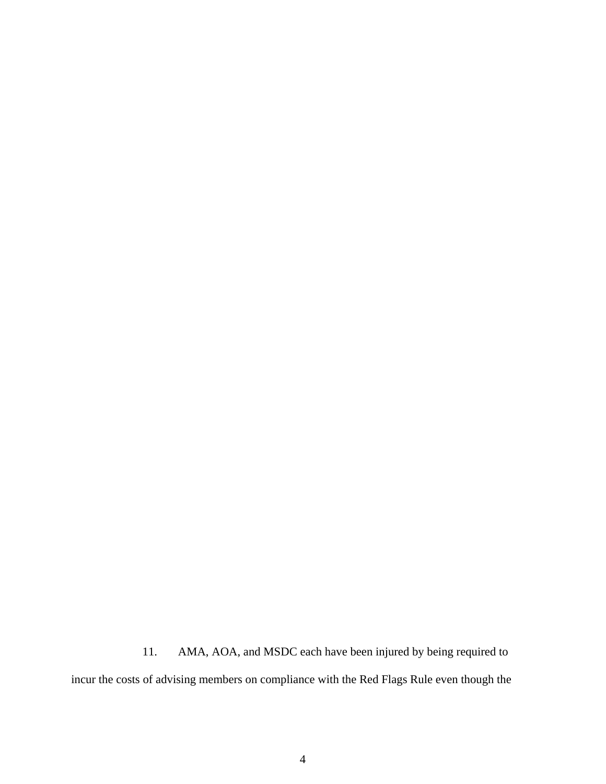11. AMA, AOA, and MSDC each have been injured by being required to incur the costs of advising members on compliance with the Red Flags Rule even though the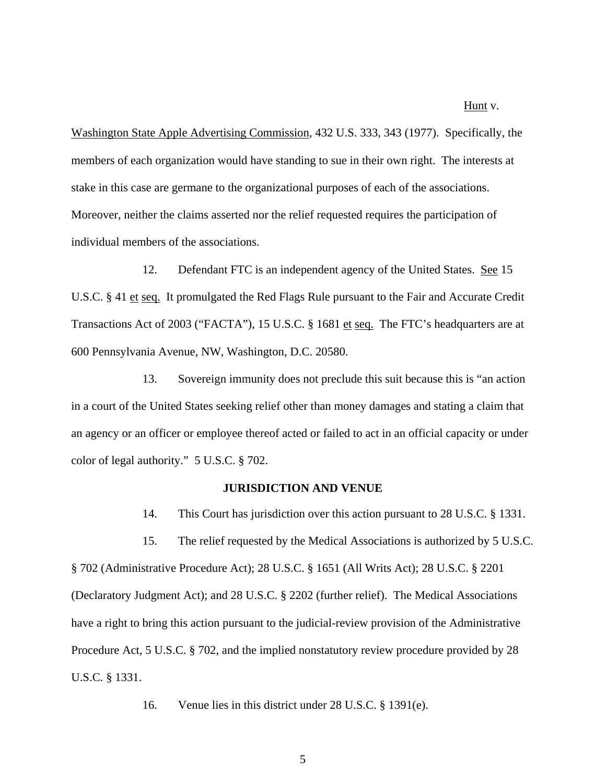#### Hunt v.

Washington State Apple Advertising Commission, 432 U.S. 333, 343 (1977). Specifically, the members of each organization would have standing to sue in their own right. The interests at stake in this case are germane to the organizational purposes of each of the associations. Moreover, neither the claims asserted nor the relief requested requires the participation of individual members of the associations.

12. Defendant FTC is an independent agency of the United States. See 15 U.S.C. § 41 et seq. It promulgated the Red Flags Rule pursuant to the Fair and Accurate Credit Transactions Act of 2003 ("FACTA"), 15 U.S.C. § 1681 et seq. The FTC's headquarters are at 600 Pennsylvania Avenue, NW, Washington, D.C. 20580.

13. Sovereign immunity does not preclude this suit because this is "an action in a court of the United States seeking relief other than money damages and stating a claim that an agency or an officer or employee thereof acted or failed to act in an official capacity or under color of legal authority." 5 U.S.C. § 702.

#### **JURISDICTION AND VENUE**

14. This Court has jurisdiction over this action pursuant to 28 U.S.C. § 1331.

15. The relief requested by the Medical Associations is authorized by 5 U.S.C. § 702 (Administrative Procedure Act); 28 U.S.C. § 1651 (All Writs Act); 28 U.S.C. § 2201 (Declaratory Judgment Act); and 28 U.S.C. § 2202 (further relief). The Medical Associations have a right to bring this action pursuant to the judicial-review provision of the Administrative Procedure Act, 5 U.S.C. § 702, and the implied nonstatutory review procedure provided by 28 U.S.C. § 1331.

16. Venue lies in this district under 28 U.S.C. § 1391(e).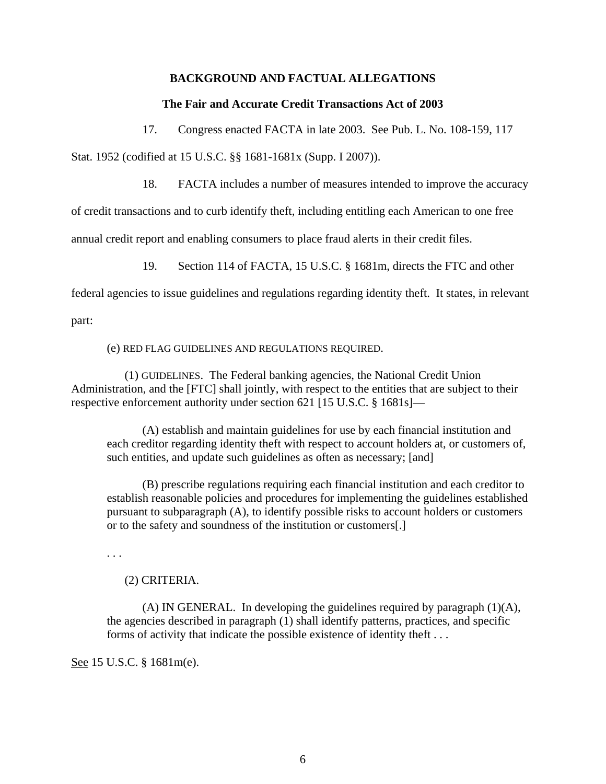### **BACKGROUND AND FACTUAL ALLEGATIONS**

#### **The Fair and Accurate Credit Transactions Act of 2003**

17. Congress enacted FACTA in late 2003. See Pub. L. No. 108-159, 117

Stat. 1952 (codified at 15 U.S.C. §§ 1681-1681x (Supp. I 2007)).

18. FACTA includes a number of measures intended to improve the accuracy

of credit transactions and to curb identify theft, including entitling each American to one free

annual credit report and enabling consumers to place fraud alerts in their credit files.

19. Section 114 of FACTA, 15 U.S.C. § 1681m, directs the FTC and other

federal agencies to issue guidelines and regulations regarding identity theft. It states, in relevant

part:

(e) RED FLAG GUIDELINES AND REGULATIONS REQUIRED.

(1) GUIDELINES. The Federal banking agencies, the National Credit Union Administration, and the [FTC] shall jointly, with respect to the entities that are subject to their respective enforcement authority under section 621 [15 U.S.C. § 1681s]—

(A) establish and maintain guidelines for use by each financial institution and each creditor regarding identity theft with respect to account holders at, or customers of, such entities, and update such guidelines as often as necessary; [and]

(B) prescribe regulations requiring each financial institution and each creditor to establish reasonable policies and procedures for implementing the guidelines established pursuant to subparagraph (A), to identify possible risks to account holders or customers or to the safety and soundness of the institution or customers[.]

. . .

### (2) CRITERIA.

(A) IN GENERAL. In developing the guidelines required by paragraph (1)(A), the agencies described in paragraph (1) shall identify patterns, practices, and specific forms of activity that indicate the possible existence of identity theft . . .

See 15 U.S.C. § 1681m(e).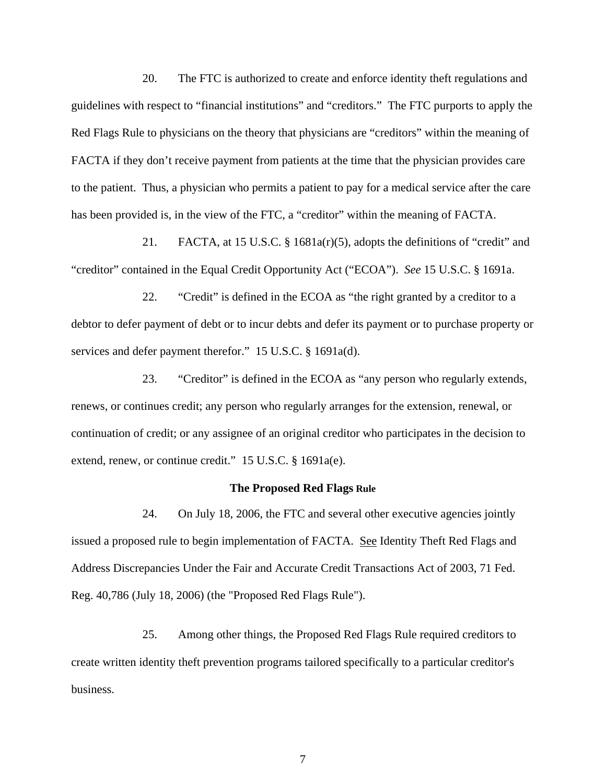20. The FTC is authorized to create and enforce identity theft regulations and guidelines with respect to "financial institutions" and "creditors." The FTC purports to apply the Red Flags Rule to physicians on the theory that physicians are "creditors" within the meaning of FACTA if they don't receive payment from patients at the time that the physician provides care to the patient. Thus, a physician who permits a patient to pay for a medical service after the care has been provided is, in the view of the FTC, a "creditor" within the meaning of FACTA.

21. FACTA, at 15 U.S.C. § 1681a(r)(5), adopts the definitions of "credit" and "creditor" contained in the Equal Credit Opportunity Act ("ECOA"). *See* 15 U.S.C. § 1691a.

22. "Credit" is defined in the ECOA as "the right granted by a creditor to a debtor to defer payment of debt or to incur debts and defer its payment or to purchase property or services and defer payment therefor." 15 U.S.C. § 1691a(d).

23. "Creditor" is defined in the ECOA as "any person who regularly extends, renews, or continues credit; any person who regularly arranges for the extension, renewal, or continuation of credit; or any assignee of an original creditor who participates in the decision to extend, renew, or continue credit." 15 U.S.C. § 1691a(e).

#### **The Proposed Red Flags Rule**

24. On July 18, 2006, the FTC and several other executive agencies jointly issued a proposed rule to begin implementation of FACTA. See Identity Theft Red Flags and Address Discrepancies Under the Fair and Accurate Credit Transactions Act of 2003, 71 Fed. Reg. 40,786 (July 18, 2006) (the "Proposed Red Flags Rule").

25. Among other things, the Proposed Red Flags Rule required creditors to create written identity theft prevention programs tailored specifically to a particular creditor's business.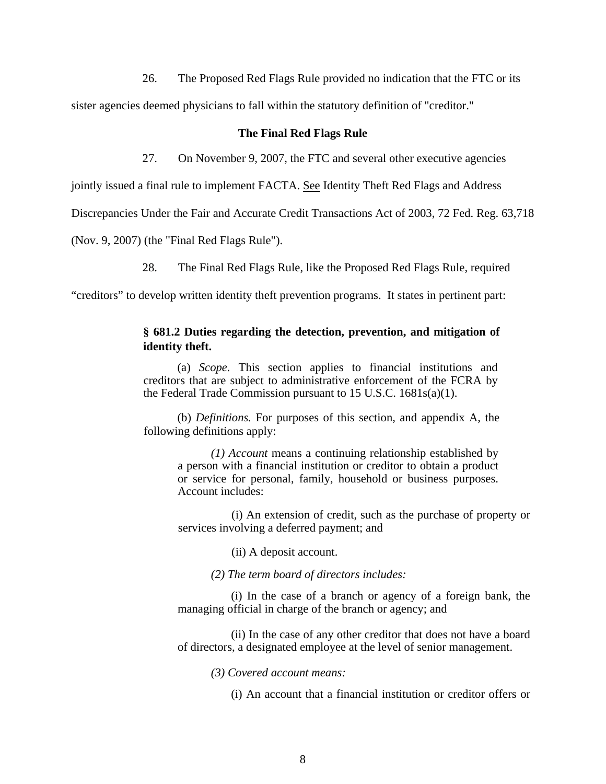26. The Proposed Red Flags Rule provided no indication that the FTC or its

sister agencies deemed physicians to fall within the statutory definition of "creditor."

#### **The Final Red Flags Rule**

27. On November 9, 2007, the FTC and several other executive agencies

jointly issued a final rule to implement FACTA. See Identity Theft Red Flags and Address

Discrepancies Under the Fair and Accurate Credit Transactions Act of 2003, 72 Fed. Reg. 63,718

(Nov. 9, 2007) (the "Final Red Flags Rule").

28. The Final Red Flags Rule, like the Proposed Red Flags Rule, required

"creditors" to develop written identity theft prevention programs. It states in pertinent part:

## **§ 681.2 Duties regarding the detection, prevention, and mitigation of identity theft.**

(a) *Scope.* This section applies to financial institutions and creditors that are subject to administrative enforcement of the FCRA by the Federal Trade Commission pursuant to 15 U.S.C. 1681s(a)(1).

(b) *Definitions.* For purposes of this section, and appendix A, the following definitions apply:

*(1) Account* means a continuing relationship established by a person with a financial institution or creditor to obtain a product or service for personal, family, household or business purposes. Account includes:

(i) An extension of credit, such as the purchase of property or services involving a deferred payment; and

(ii) A deposit account.

*(2) The term board of directors includes:* 

(i) In the case of a branch or agency of a foreign bank, the managing official in charge of the branch or agency; and

(ii) In the case of any other creditor that does not have a board of directors, a designated employee at the level of senior management.

*(3) Covered account means:* 

(i) An account that a financial institution or creditor offers or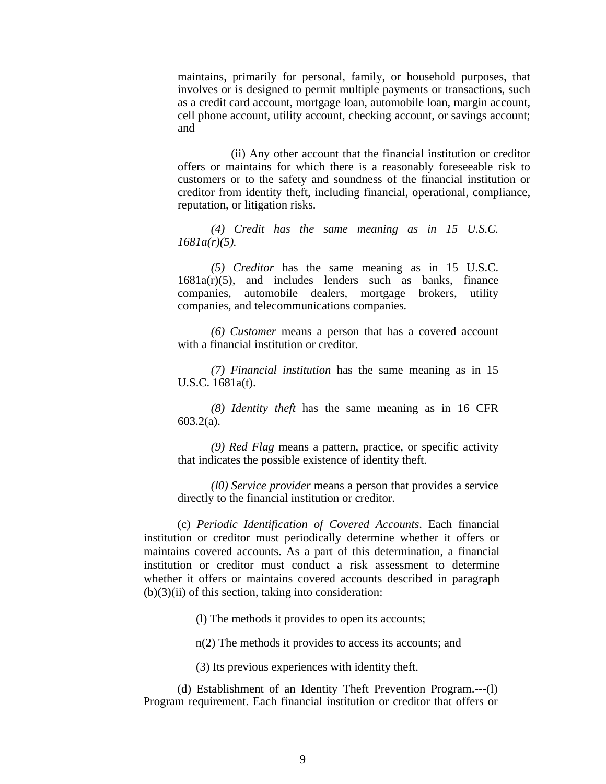maintains, primarily for personal, family, or household purposes, that involves or is designed to permit multiple payments or transactions, such as a credit card account, mortgage loan, automobile loan, margin account, cell phone account, utility account, checking account, or savings account; and

(ii) Any other account that the financial institution or creditor offers or maintains for which there is a reasonably foreseeable risk to customers or to the safety and soundness of the financial institution or creditor from identity theft, including financial, operational, compliance, reputation, or litigation risks.

*(4) Credit has the same meaning as in 15 U.S.C. 1681a(r)(5).* 

*(5) Creditor* has the same meaning as in 15 U.S.C.  $1681a(r)(5)$ , and includes lenders such as banks, finance companies, automobile dealers, mortgage brokers, utility companies, and telecommunications companies*.* 

*(6) Customer* means a person that has a covered account with a financial institution or creditor*.* 

*(7) Financial institution* has the same meaning as in 15 U.S.C. 1681a(t).

*(8) Identity theft* has the same meaning as in 16 CFR 603.2(a).

*(9) Red Flag* means a pattern, practice, or specific activity that indicates the possible existence of identity theft.

*(l0) Service provider* means a person that provides a service directly to the financial institution or creditor.

(c) *Periodic Identification of Covered Accounts*. Each financial institution or creditor must periodically determine whether it offers or maintains covered accounts. As a part of this determination, a financial institution or creditor must conduct a risk assessment to determine whether it offers or maintains covered accounts described in paragraph  $(b)(3)(ii)$  of this section, taking into consideration:

(l) The methods it provides to open its accounts;

n(2) The methods it provides to access its accounts; and

(3) Its previous experiences with identity theft.

(d) Establishment of an Identity Theft Prevention Program.---(l) Program requirement. Each financial institution or creditor that offers or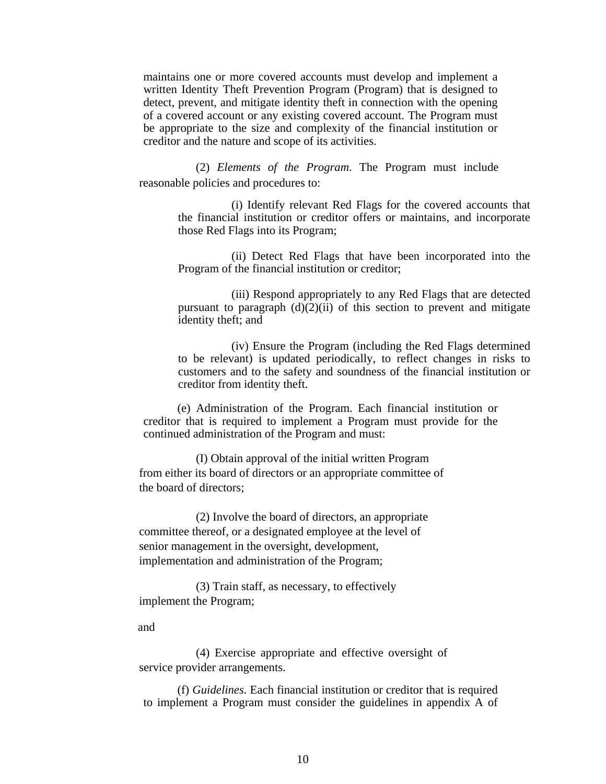maintains one or more covered accounts must develop and implement a written Identity Theft Prevention Program (Program) that is designed to detect, prevent, and mitigate identity theft in connection with the opening of a covered account or any existing covered account. The Program must be appropriate to the size and complexity of the financial institution or creditor and the nature and scope of its activities.

(2) *Elements of the Program*. The Program must include reasonable policies and procedures to:

> (i) Identify relevant Red Flags for the covered accounts that the financial institution or creditor offers or maintains, and incorporate those Red Flags into its Program;

> (ii) Detect Red Flags that have been incorporated into the Program of the financial institution or creditor;

> (iii) Respond appropriately to any Red Flags that are detected pursuant to paragraph  $(d)(2)(ii)$  of this section to prevent and mitigate identity theft; and

> (iv) Ensure the Program (including the Red Flags determined to be relevant) is updated periodically, to reflect changes in risks to customers and to the safety and soundness of the financial institution or creditor from identity theft.

(e) Administration of the Program. Each financial institution or creditor that is required to implement a Program must provide for the continued administration of the Program and must:

(I) Obtain approval of the initial written Program from either its board of directors or an appropriate committee of the board of directors;

(2) Involve the board of directors, an appropriate committee thereof, or a designated employee at the level of senior management in the oversight, development, implementation and administration of the Program;

(3) Train staff, as necessary, to effectively implement the Program;

and

(4) Exercise appropriate and effective oversight of service provider arrangements.

(f) *Guidelines*. Each financial institution or creditor that is required to implement a Program must consider the guidelines in appendix A of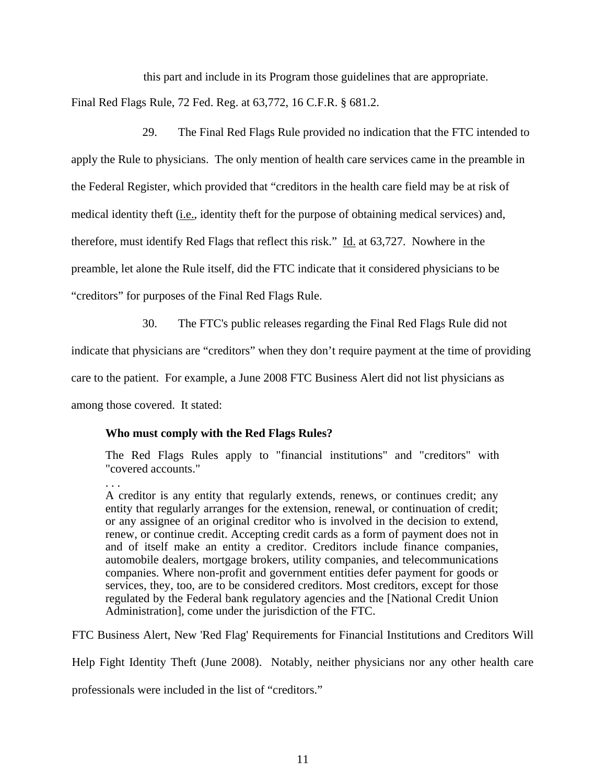this part and include in its Program those guidelines that are appropriate. Final Red Flags Rule, 72 Fed. Reg. at 63,772, 16 C.F.R. § 681.2.

29. The Final Red Flags Rule provided no indication that the FTC intended to apply the Rule to physicians. The only mention of health care services came in the preamble in the Federal Register, which provided that "creditors in the health care field may be at risk of medical identity theft (i.e., identity theft for the purpose of obtaining medical services) and, therefore, must identify Red Flags that reflect this risk." Id. at 63,727. Nowhere in the preamble, let alone the Rule itself, did the FTC indicate that it considered physicians to be "creditors" for purposes of the Final Red Flags Rule.

30. The FTC's public releases regarding the Final Red Flags Rule did not

indicate that physicians are "creditors" when they don't require payment at the time of providing

care to the patient. For example, a June 2008 FTC Business Alert did not list physicians as

among those covered. It stated:

# **Who must comply with the Red Flags Rules?**

The Red Flags Rules apply to "financial institutions" and "creditors" with "covered accounts."

. . .

A creditor is any entity that regularly extends, renews, or continues credit; any entity that regularly arranges for the extension, renewal, or continuation of credit; or any assignee of an original creditor who is involved in the decision to extend, renew, or continue credit. Accepting credit cards as a form of payment does not in and of itself make an entity a creditor. Creditors include finance companies, automobile dealers, mortgage brokers, utility companies, and telecommunications companies. Where non-profit and government entities defer payment for goods or services, they, too, are to be considered creditors. Most creditors, except for those regulated by the Federal bank regulatory agencies and the [National Credit Union Administration], come under the jurisdiction of the FTC.

FTC Business Alert, New 'Red Flag' Requirements for Financial Institutions and Creditors Will

Help Fight Identity Theft (June 2008). Notably, neither physicians nor any other health care

professionals were included in the list of "creditors."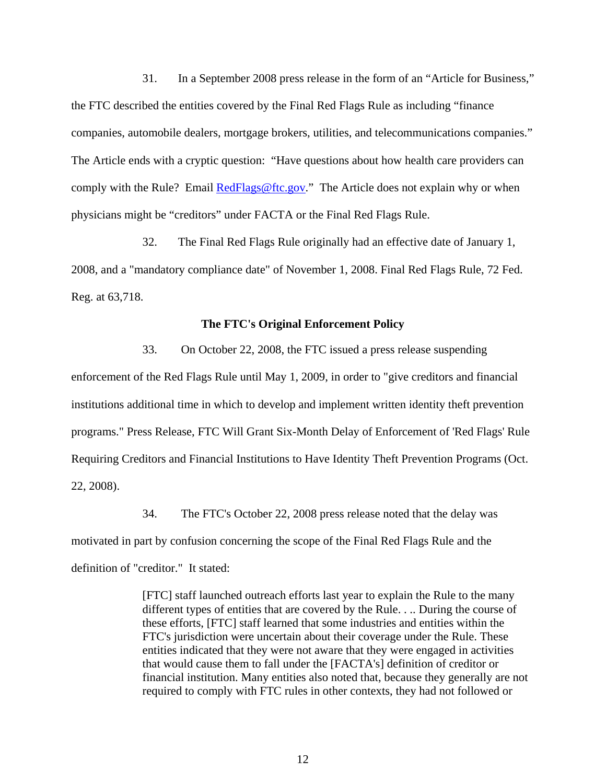31. In a September 2008 press release in the form of an "Article for Business," the FTC described the entities covered by the Final Red Flags Rule as including "finance companies, automobile dealers, mortgage brokers, utilities, and telecommunications companies." The Article ends with a cryptic question: "Have questions about how health care providers can comply with the Rule? Email [RedFlags@ftc.gov.](mailto:RedFlags@ftc.gov)" The Article does not explain why or when physicians might be "creditors" under FACTA or the Final Red Flags Rule.

32. The Final Red Flags Rule originally had an effective date of January 1, 2008, and a "mandatory compliance date" of November 1, 2008. Final Red Flags Rule, 72 Fed. Reg. at 63,718.

### **The FTC's Original Enforcement Policy**

33. On October 22, 2008, the FTC issued a press release suspending enforcement of the Red Flags Rule until May 1, 2009, in order to "give creditors and financial institutions additional time in which to develop and implement written identity theft prevention programs." Press Release, FTC Will Grant Six-Month Delay of Enforcement of 'Red Flags' Rule Requiring Creditors and Financial Institutions to Have Identity Theft Prevention Programs (Oct. 22, 2008).

34. The FTC's October 22, 2008 press release noted that the delay was motivated in part by confusion concerning the scope of the Final Red Flags Rule and the definition of "creditor." It stated:

> [FTC] staff launched outreach efforts last year to explain the Rule to the many different types of entities that are covered by the Rule. . .. During the course of these efforts, [FTC] staff learned that some industries and entities within the FTC's jurisdiction were uncertain about their coverage under the Rule. These entities indicated that they were not aware that they were engaged in activities that would cause them to fall under the [FACTA's] definition of creditor or financial institution. Many entities also noted that, because they generally are not required to comply with FTC rules in other contexts, they had not followed or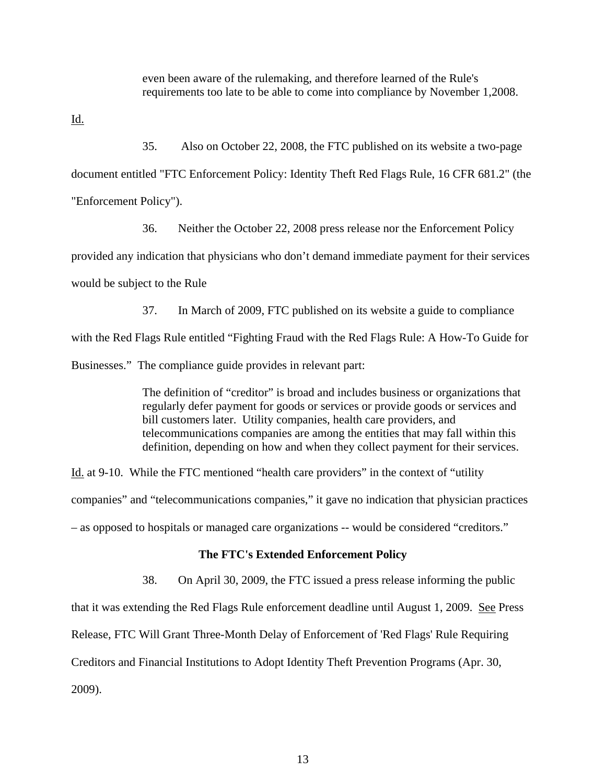even been aware of the rulemaking, and therefore learned of the Rule's requirements too late to be able to come into compliance by November 1,2008.

Id.

35. Also on October 22, 2008, the FTC published on its website a two-page document entitled "FTC Enforcement Policy: Identity Theft Red Flags Rule, 16 CFR 681.2" (the "Enforcement Policy").

36. Neither the October 22, 2008 press release nor the Enforcement Policy provided any indication that physicians who don't demand immediate payment for their services would be subject to the Rule

37. In March of 2009, FTC published on its website a guide to compliance with the Red Flags Rule entitled "Fighting Fraud with the Red Flags Rule: A How-To Guide for Businesses." The compliance guide provides in relevant part:

> The definition of "creditor" is broad and includes business or organizations that regularly defer payment for goods or services or provide goods or services and bill customers later. Utility companies, health care providers, and telecommunications companies are among the entities that may fall within this definition, depending on how and when they collect payment for their services.

Id. at 9-10. While the FTC mentioned "health care providers" in the context of "utility companies" and "telecommunications companies," it gave no indication that physician practices – as opposed to hospitals or managed care organizations -- would be considered "creditors."

### **The FTC's Extended Enforcement Policy**

38. On April 30, 2009, the FTC issued a press release informing the public

that it was extending the Red Flags Rule enforcement deadline until August 1, 2009. See Press

Release, FTC Will Grant Three-Month Delay of Enforcement of 'Red Flags' Rule Requiring

Creditors and Financial Institutions to Adopt Identity Theft Prevention Programs (Apr. 30,

2009).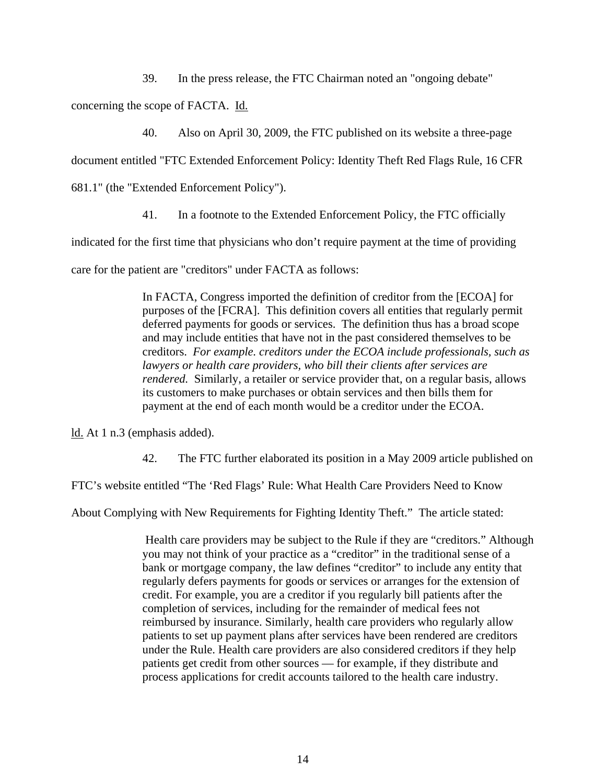39. In the press release, the FTC Chairman noted an "ongoing debate"

concerning the scope of FACTA. Id.

40. Also on April 30, 2009, the FTC published on its website a three-page

document entitled "FTC Extended Enforcement Policy: Identity Theft Red Flags Rule, 16 CFR

681.1" (the "Extended Enforcement Policy").

41. In a footnote to the Extended Enforcement Policy, the FTC officially

indicated for the first time that physicians who don't require payment at the time of providing

care for the patient are "creditors" under FACTA as follows:

In FACTA, Congress imported the definition of creditor from the [ECOA] for purposes of the [FCRA]. This definition covers all entities that regularly permit deferred payments for goods or services. The definition thus has a broad scope and may include entities that have not in the past considered themselves to be creditors. *For example. creditors under the ECOA include professionals, such as lawyers or health care providers, who bill their clients after services are rendered.* Similarly, a retailer or service provider that, on a regular basis, allows its customers to make purchases or obtain services and then bills them for payment at the end of each month would be a creditor under the ECOA.

ld. At 1 n.3 (emphasis added).

42. The FTC further elaborated its position in a May 2009 article published on

FTC's website entitled "The 'Red Flags' Rule: What Health Care Providers Need to Know

About Complying with New Requirements for Fighting Identity Theft." The article stated:

 Health care providers may be subject to the Rule if they are "creditors." Although you may not think of your practice as a "creditor" in the traditional sense of a bank or mortgage company, the law defines "creditor" to include any entity that regularly defers payments for goods or services or arranges for the extension of credit. For example, you are a creditor if you regularly bill patients after the completion of services, including for the remainder of medical fees not reimbursed by insurance. Similarly, health care providers who regularly allow patients to set up payment plans after services have been rendered are creditors under the Rule. Health care providers are also considered creditors if they help patients get credit from other sources — for example, if they distribute and process applications for credit accounts tailored to the health care industry.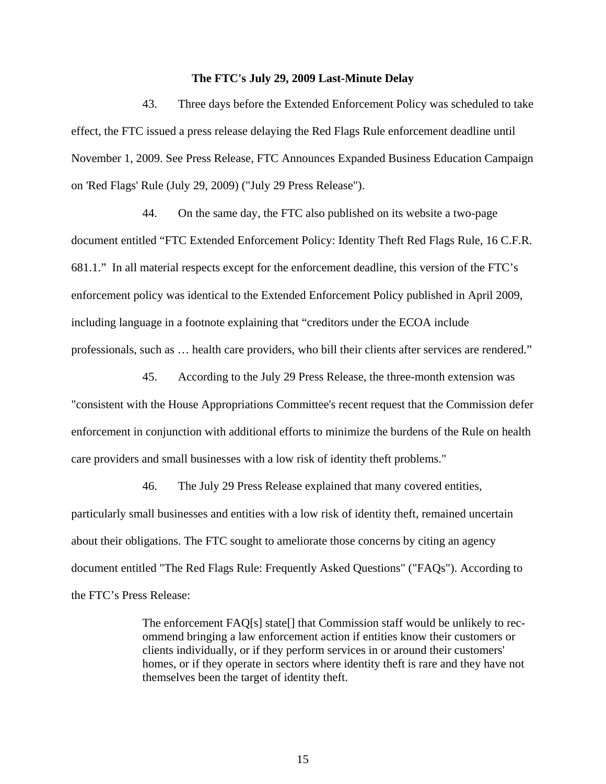#### **The FTC's July 29, 2009 Last-Minute Delay**

43. Three days before the Extended Enforcement Policy was scheduled to take effect, the FTC issued a press release delaying the Red Flags Rule enforcement deadline until November 1, 2009. See Press Release, FTC Announces Expanded Business Education Campaign on 'Red Flags' Rule (July 29, 2009) ("July 29 Press Release").

44. On the same day, the FTC also published on its website a two-page document entitled "FTC Extended Enforcement Policy: Identity Theft Red Flags Rule, 16 C.F.R. 681.1." In all material respects except for the enforcement deadline, this version of the FTC's enforcement policy was identical to the Extended Enforcement Policy published in April 2009, including language in a footnote explaining that "creditors under the ECOA include professionals, such as … health care providers, who bill their clients after services are rendered."

45. According to the July 29 Press Release, the three-month extension was "consistent with the House Appropriations Committee's recent request that the Commission defer enforcement in conjunction with additional efforts to minimize the burdens of the Rule on health care providers and small businesses with a low risk of identity theft problems."

46. The July 29 Press Release explained that many covered entities, particularly small businesses and entities with a low risk of identity theft, remained uncertain about their obligations. The FTC sought to ameliorate those concerns by citing an agency document entitled "The Red Flags Rule: Frequently Asked Questions" ("FAQs"). According to the FTC's Press Release:

> The enforcement FAQ[s] state[] that Commission staff would be unlikely to recommend bringing a law enforcement action if entities know their customers or clients individually, or if they perform services in or around their customers' homes, or if they operate in sectors where identity theft is rare and they have not themselves been the target of identity theft.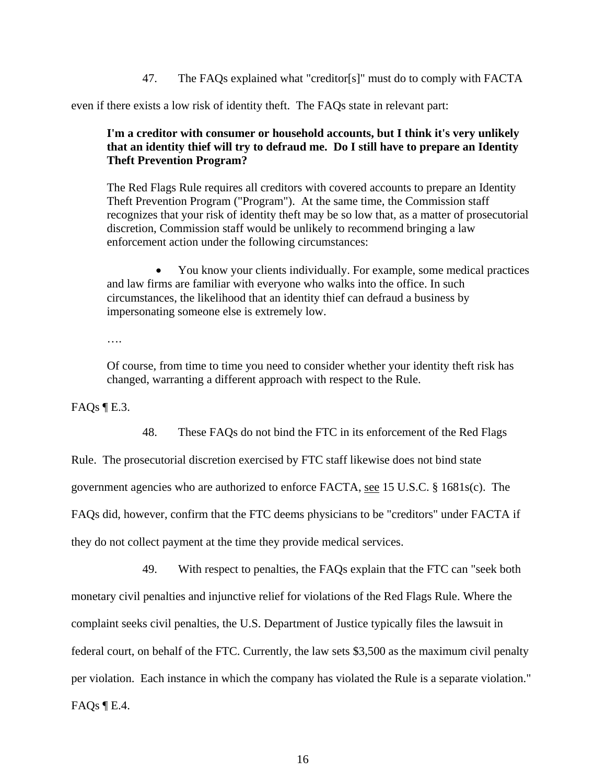47. The FAQs explained what "creditor[s]" must do to comply with FACTA

even if there exists a low risk of identity theft. The FAQs state in relevant part:

# **I'm a creditor with consumer or household accounts, but I think it's very unlikely that an identity thief will try to defraud me. Do I still have to prepare an Identity Theft Prevention Program?**

The Red Flags Rule requires all creditors with covered accounts to prepare an Identity Theft Prevention Program ("Program"). At the same time, the Commission staff recognizes that your risk of identity theft may be so low that, as a matter of prosecutorial discretion, Commission staff would be unlikely to recommend bringing a law enforcement action under the following circumstances:

 You know your clients individually. For example, some medical practices and law firms are familiar with everyone who walks into the office. In such circumstances, the likelihood that an identity thief can defraud a business by impersonating someone else is extremely low.

….

Of course, from time to time you need to consider whether your identity theft risk has changed, warranting a different approach with respect to the Rule.

FAOs $\P$ E.3.

48. These FAQs do not bind the FTC in its enforcement of the Red Flags

Rule. The prosecutorial discretion exercised by FTC staff likewise does not bind state

government agencies who are authorized to enforce FACTA, see 15 U.S.C. § 1681s(c). The

FAQs did, however, confirm that the FTC deems physicians to be "creditors" under FACTA if

they do not collect payment at the time they provide medical services.

49. With respect to penalties, the FAQs explain that the FTC can "seek both monetary civil penalties and injunctive relief for violations of the Red Flags Rule. Where the complaint seeks civil penalties, the U.S. Department of Justice typically files the lawsuit in federal court, on behalf of the FTC. Currently, the law sets \$3,500 as the maximum civil penalty per violation. Each instance in which the company has violated the Rule is a separate violation." FAQs  $\P$  E.4.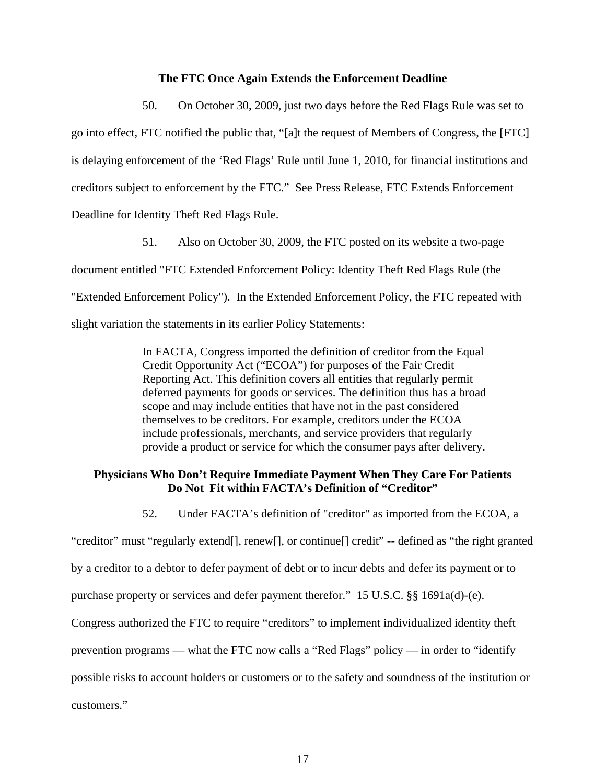#### **The FTC Once Again Extends the Enforcement Deadline**

50. On October 30, 2009, just two days before the Red Flags Rule was set to go into effect, FTC notified the public that, "[a]t the request of Members of Congress, the [FTC] is delaying enforcement of the 'Red Flags' Rule until June 1, 2010, for financial institutions and creditors subject to enforcement by the FTC." See Press Release, FTC Extends Enforcement Deadline for Identity Theft Red Flags Rule.

51. Also on October 30, 2009, the FTC posted on its website a two-page document entitled "FTC Extended Enforcement Policy: Identity Theft Red Flags Rule (the "Extended Enforcement Policy"). In the Extended Enforcement Policy, the FTC repeated with slight variation the statements in its earlier Policy Statements:

> In FACTA, Congress imported the definition of creditor from the Equal Credit Opportunity Act ("ECOA") for purposes of the Fair Credit Reporting Act. This definition covers all entities that regularly permit deferred payments for goods or services. The definition thus has a broad scope and may include entities that have not in the past considered themselves to be creditors. For example, creditors under the ECOA include professionals, merchants, and service providers that regularly provide a product or service for which the consumer pays after delivery.

## **Physicians Who Don't Require Immediate Payment When They Care For Patients Do Not Fit within FACTA's Definition of "Creditor"**

52. Under FACTA's definition of "creditor" as imported from the ECOA, a

"creditor" must "regularly extend[], renew[], or continue[] credit" -- defined as "the right granted

by a creditor to a debtor to defer payment of debt or to incur debts and defer its payment or to

purchase property or services and defer payment therefor." 15 U.S.C. §§ 1691a(d)-(e).

Congress authorized the FTC to require "creditors" to implement individualized identity theft

prevention programs — what the FTC now calls a "Red Flags" policy — in order to "identify

possible risks to account holders or customers or to the safety and soundness of the institution or

customers."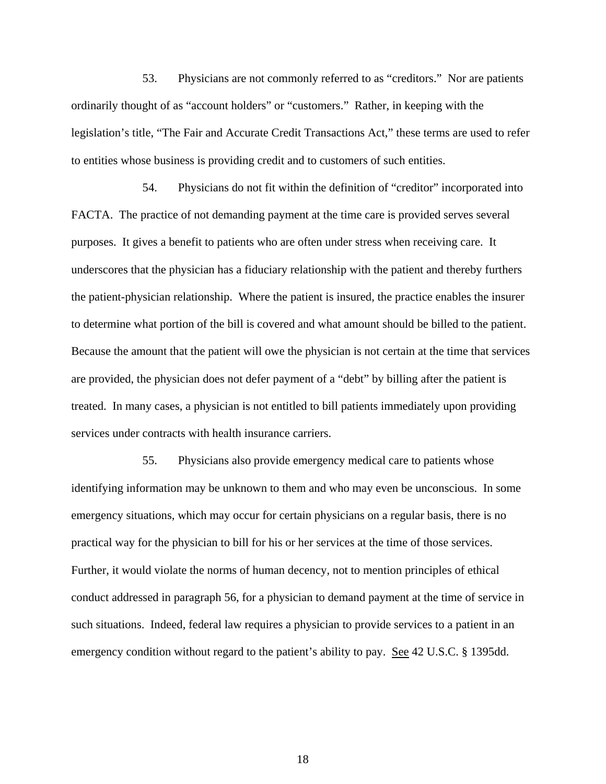53. Physicians are not commonly referred to as "creditors." Nor are patients ordinarily thought of as "account holders" or "customers." Rather, in keeping with the legislation's title, "The Fair and Accurate Credit Transactions Act," these terms are used to refer to entities whose business is providing credit and to customers of such entities.

54. Physicians do not fit within the definition of "creditor" incorporated into FACTA. The practice of not demanding payment at the time care is provided serves several purposes. It gives a benefit to patients who are often under stress when receiving care. It underscores that the physician has a fiduciary relationship with the patient and thereby furthers the patient-physician relationship. Where the patient is insured, the practice enables the insurer to determine what portion of the bill is covered and what amount should be billed to the patient. Because the amount that the patient will owe the physician is not certain at the time that services are provided, the physician does not defer payment of a "debt" by billing after the patient is treated. In many cases, a physician is not entitled to bill patients immediately upon providing services under contracts with health insurance carriers.

55. Physicians also provide emergency medical care to patients whose identifying information may be unknown to them and who may even be unconscious. In some emergency situations, which may occur for certain physicians on a regular basis, there is no practical way for the physician to bill for his or her services at the time of those services. Further, it would violate the norms of human decency, not to mention principles of ethical conduct addressed in paragraph 56, for a physician to demand payment at the time of service in such situations. Indeed, federal law requires a physician to provide services to a patient in an emergency condition without regard to the patient's ability to pay. <u>See</u> 42 U.S.C. § 1395dd.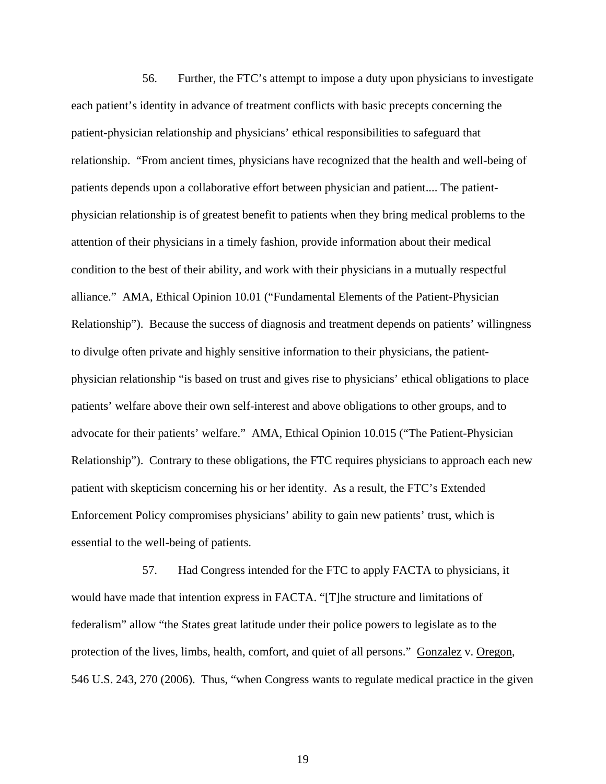56. Further, the FTC's attempt to impose a duty upon physicians to investigate each patient's identity in advance of treatment conflicts with basic precepts concerning the patient-physician relationship and physicians' ethical responsibilities to safeguard that relationship. "From ancient times, physicians have recognized that the health and well-being of patients depends upon a collaborative effort between physician and patient.... The patientphysician relationship is of greatest benefit to patients when they bring medical problems to the attention of their physicians in a timely fashion, provide information about their medical condition to the best of their ability, and work with their physicians in a mutually respectful alliance." AMA, Ethical Opinion 10.01 ("Fundamental Elements of the Patient-Physician Relationship"). Because the success of diagnosis and treatment depends on patients' willingness to divulge often private and highly sensitive information to their physicians, the patientphysician relationship "is based on trust and gives rise to physicians' ethical obligations to place patients' welfare above their own self-interest and above obligations to other groups, and to advocate for their patients' welfare." AMA, Ethical Opinion 10.015 ("The Patient-Physician Relationship"). Contrary to these obligations, the FTC requires physicians to approach each new patient with skepticism concerning his or her identity. As a result, the FTC's Extended Enforcement Policy compromises physicians' ability to gain new patients' trust, which is essential to the well-being of patients.

57. Had Congress intended for the FTC to apply FACTA to physicians, it would have made that intention express in FACTA. "[T]he structure and limitations of federalism" allow "the States great latitude under their police powers to legislate as to the protection of the lives, limbs, health, comfort, and quiet of all persons." Gonzalez v. Oregon, 546 U.S. 243, 270 (2006). Thus, "when Congress wants to regulate medical practice in the given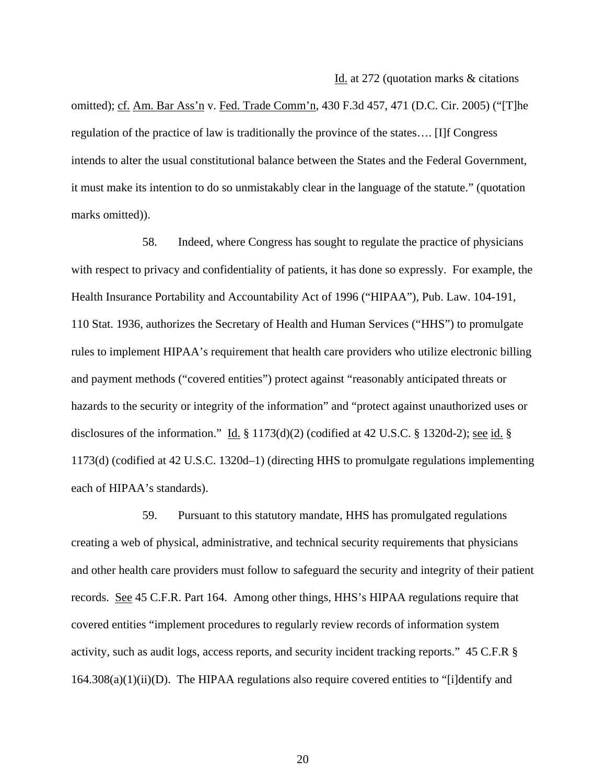Id. at 272 (quotation marks & citations

omitted); cf. Am. Bar Ass'n v. Fed. Trade Comm'n, 430 F.3d 457, 471 (D.C. Cir. 2005) ("[T]he regulation of the practice of law is traditionally the province of the states…. [I]f Congress intends to alter the usual constitutional balance between the States and the Federal Government, it must make its intention to do so unmistakably clear in the language of the statute." (quotation marks omitted)).

58. Indeed, where Congress has sought to regulate the practice of physicians with respect to privacy and confidentiality of patients, it has done so expressly. For example, the Health Insurance Portability and Accountability Act of 1996 ("HIPAA"), Pub. Law. 104-191, 110 Stat. 1936, authorizes the Secretary of Health and Human Services ("HHS") to promulgate rules to implement HIPAA's requirement that health care providers who utilize electronic billing and payment methods ("covered entities") protect against "reasonably anticipated threats or hazards to the security or integrity of the information" and "protect against unauthorized uses or disclosures of the information." Id.  $\S 1173(d)(2)$  (codified at 42 U.S.C.  $\S 1320d-2$ ); <u>see id.</u>  $\S$ 1173(d) (codified at 42 U.S.C. 1320d–1) (directing HHS to promulgate regulations implementing each of HIPAA's standards).

59. Pursuant to this statutory mandate, HHS has promulgated regulations creating a web of physical, administrative, and technical security requirements that physicians and other health care providers must follow to safeguard the security and integrity of their patient records. See 45 C.F.R. Part 164. Among other things, HHS's HIPAA regulations require that covered entities "implement procedures to regularly review records of information system activity, such as audit logs, access reports, and security incident tracking reports." 45 C.F.R §  $164.308(a)(1)(ii)(D)$ . The HIPAA regulations also require covered entities to "[i]dentify and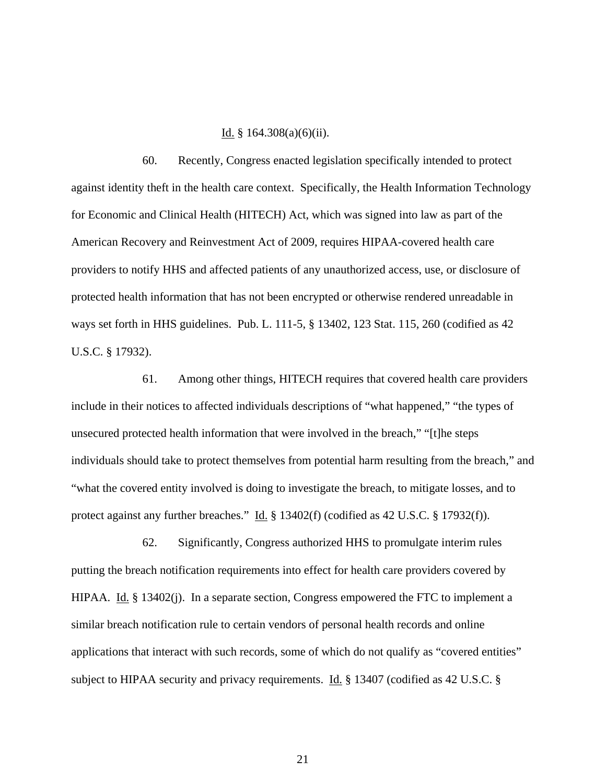### Id. § 164.308(a)(6)(ii).

60. Recently, Congress enacted legislation specifically intended to protect against identity theft in the health care context. Specifically, the Health Information Technology for Economic and Clinical Health (HITECH) Act, which was signed into law as part of the American Recovery and Reinvestment Act of 2009, requires HIPAA-covered health care providers to notify HHS and affected patients of any unauthorized access, use, or disclosure of protected health information that has not been encrypted or otherwise rendered unreadable in ways set forth in HHS guidelines. Pub. L. 111-5, § 13402, 123 Stat. 115, 260 (codified as 42 U.S.C. § 17932).

61. Among other things, HITECH requires that covered health care providers include in their notices to affected individuals descriptions of "what happened," "the types of unsecured protected health information that were involved in the breach," "[t]he steps individuals should take to protect themselves from potential harm resulting from the breach," and "what the covered entity involved is doing to investigate the breach, to mitigate losses, and to protect against any further breaches." Id. § 13402(f) (codified as 42 U.S.C. § 17932(f)).

62. Significantly, Congress authorized HHS to promulgate interim rules putting the breach notification requirements into effect for health care providers covered by HIPAA. Id. § 13402(j). In a separate section, Congress empowered the FTC to implement a similar breach notification rule to certain vendors of personal health records and online applications that interact with such records, some of which do not qualify as "covered entities" subject to HIPAA security and privacy requirements. Id. § 13407 (codified as 42 U.S.C. §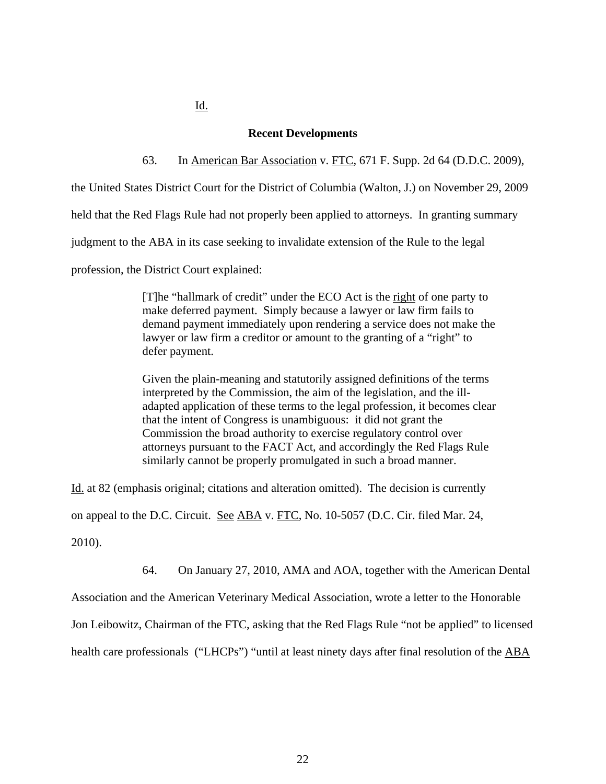Id.

### **Recent Developments**

63. In American Bar Association v. FTC, 671 F. Supp. 2d 64 (D.D.C. 2009),

the United States District Court for the District of Columbia (Walton, J.) on November 29, 2009

held that the Red Flags Rule had not properly been applied to attorneys. In granting summary

judgment to the ABA in its case seeking to invalidate extension of the Rule to the legal

profession, the District Court explained:

[T]he "hallmark of credit" under the ECO Act is the right of one party to make deferred payment. Simply because a lawyer or law firm fails to demand payment immediately upon rendering a service does not make the lawyer or law firm a creditor or amount to the granting of a "right" to defer payment.

Given the plain-meaning and statutorily assigned definitions of the terms interpreted by the Commission, the aim of the legislation, and the illadapted application of these terms to the legal profession, it becomes clear that the intent of Congress is unambiguous: it did not grant the Commission the broad authority to exercise regulatory control over attorneys pursuant to the FACT Act, and accordingly the Red Flags Rule similarly cannot be properly promulgated in such a broad manner.

Id. at 82 (emphasis original; citations and alteration omitted). The decision is currently

on appeal to the D.C. Circuit. See ABA v. FTC, No. 10-5057 (D.C. Cir. filed Mar. 24,

2010).

64. On January 27, 2010, AMA and AOA, together with the American Dental

Association and the American Veterinary Medical Association, wrote a letter to the Honorable

Jon Leibowitz, Chairman of the FTC, asking that the Red Flags Rule "not be applied" to licensed

health care professionals ("LHCPs") "until at least ninety days after final resolution of the ABA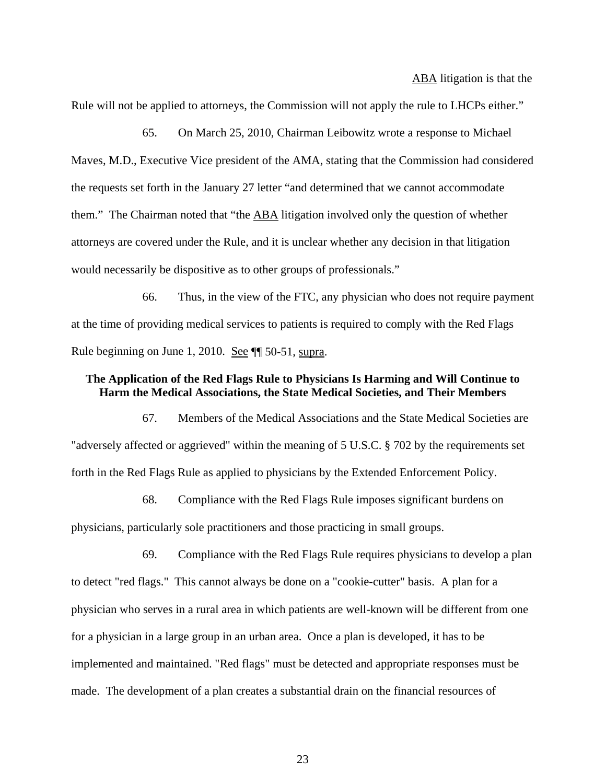ABA litigation is that the

Rule will not be applied to attorneys, the Commission will not apply the rule to LHCPs either."

65. On March 25, 2010, Chairman Leibowitz wrote a response to Michael Maves, M.D., Executive Vice president of the AMA, stating that the Commission had considered the requests set forth in the January 27 letter "and determined that we cannot accommodate them." The Chairman noted that "the ABA litigation involved only the question of whether attorneys are covered under the Rule, and it is unclear whether any decision in that litigation would necessarily be dispositive as to other groups of professionals."

66. Thus, in the view of the FTC, any physician who does not require payment at the time of providing medical services to patients is required to comply with the Red Flags Rule beginning on June 1, 2010. See ¶ 50-51, supra.

## **The Application of the Red Flags Rule to Physicians Is Harming and Will Continue to Harm the Medical Associations, the State Medical Societies, and Their Members**

67. Members of the Medical Associations and the State Medical Societies are "adversely affected or aggrieved" within the meaning of 5 U.S.C. § 702 by the requirements set forth in the Red Flags Rule as applied to physicians by the Extended Enforcement Policy.

68. Compliance with the Red Flags Rule imposes significant burdens on physicians, particularly sole practitioners and those practicing in small groups.

69. Compliance with the Red Flags Rule requires physicians to develop a plan to detect "red flags." This cannot always be done on a "cookie-cutter" basis. A plan for a physician who serves in a rural area in which patients are well-known will be different from one for a physician in a large group in an urban area. Once a plan is developed, it has to be implemented and maintained. "Red flags" must be detected and appropriate responses must be made. The development of a plan creates a substantial drain on the financial resources of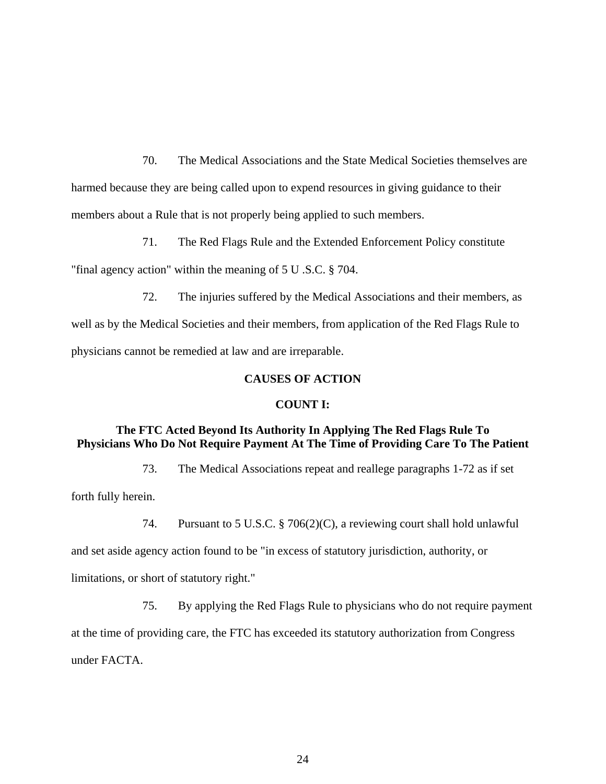70. The Medical Associations and the State Medical Societies themselves are harmed because they are being called upon to expend resources in giving guidance to their members about a Rule that is not properly being applied to such members.

71. The Red Flags Rule and the Extended Enforcement Policy constitute "final agency action" within the meaning of 5 U .S.C. § 704.

72. The injuries suffered by the Medical Associations and their members, as well as by the Medical Societies and their members, from application of the Red Flags Rule to physicians cannot be remedied at law and are irreparable.

# **CAUSES OF ACTION**

### **COUNT I:**

# **The FTC Acted Beyond Its Authority In Applying The Red Flags Rule To Physicians Who Do Not Require Payment At The Time of Providing Care To The Patient**

73. The Medical Associations repeat and reallege paragraphs 1-72 as if set forth fully herein.

74. Pursuant to 5 U.S.C. § 706(2)(C), a reviewing court shall hold unlawful

and set aside agency action found to be "in excess of statutory jurisdiction, authority, or

limitations, or short of statutory right."

75. By applying the Red Flags Rule to physicians who do not require payment at the time of providing care, the FTC has exceeded its statutory authorization from Congress under FACTA.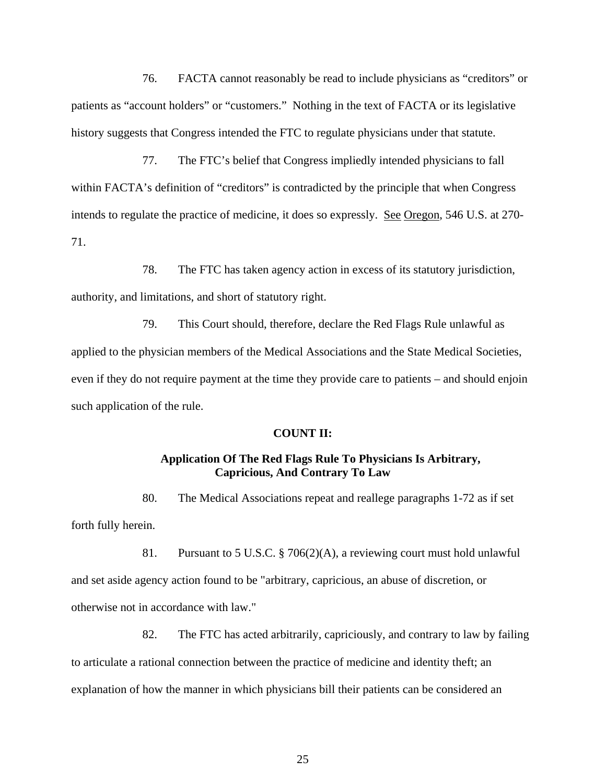76. FACTA cannot reasonably be read to include physicians as "creditors" or patients as "account holders" or "customers." Nothing in the text of FACTA or its legislative history suggests that Congress intended the FTC to regulate physicians under that statute.

77. The FTC's belief that Congress impliedly intended physicians to fall within FACTA's definition of "creditors" is contradicted by the principle that when Congress intends to regulate the practice of medicine, it does so expressly. See Oregon, 546 U.S. at 270- 71.

78. The FTC has taken agency action in excess of its statutory jurisdiction, authority, and limitations, and short of statutory right.

79. This Court should, therefore, declare the Red Flags Rule unlawful as applied to the physician members of the Medical Associations and the State Medical Societies, even if they do not require payment at the time they provide care to patients – and should enjoin such application of the rule.

#### **COUNT II:**

# **Application Of The Red Flags Rule To Physicians Is Arbitrary, Capricious, And Contrary To Law**

80. The Medical Associations repeat and reallege paragraphs 1-72 as if set forth fully herein.

81. Pursuant to 5 U.S.C. § 706(2)(A), a reviewing court must hold unlawful and set aside agency action found to be "arbitrary, capricious, an abuse of discretion, or otherwise not in accordance with law."

82. The FTC has acted arbitrarily, capriciously, and contrary to law by failing to articulate a rational connection between the practice of medicine and identity theft; an explanation of how the manner in which physicians bill their patients can be considered an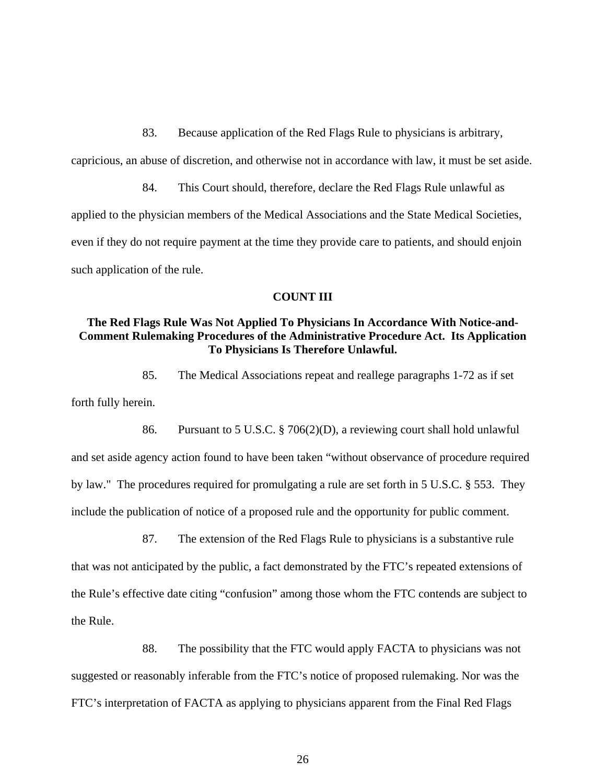83. Because application of the Red Flags Rule to physicians is arbitrary, capricious, an abuse of discretion, and otherwise not in accordance with law, it must be set aside.

84. This Court should, therefore, declare the Red Flags Rule unlawful as applied to the physician members of the Medical Associations and the State Medical Societies, even if they do not require payment at the time they provide care to patients, and should enjoin such application of the rule.

### **COUNT III**

# **The Red Flags Rule Was Not Applied To Physicians In Accordance With Notice-and-Comment Rulemaking Procedures of the Administrative Procedure Act. Its Application To Physicians Is Therefore Unlawful.**

85. The Medical Associations repeat and reallege paragraphs 1-72 as if set

forth fully herein.

86. Pursuant to 5 U.S.C. § 706(2)(D), a reviewing court shall hold unlawful and set aside agency action found to have been taken "without observance of procedure required by law." The procedures required for promulgating a rule are set forth in 5 U.S.C. § 553. They include the publication of notice of a proposed rule and the opportunity for public comment.

87. The extension of the Red Flags Rule to physicians is a substantive rule that was not anticipated by the public, a fact demonstrated by the FTC's repeated extensions of the Rule's effective date citing "confusion" among those whom the FTC contends are subject to the Rule.

88. The possibility that the FTC would apply FACTA to physicians was not suggested or reasonably inferable from the FTC's notice of proposed rulemaking. Nor was the FTC's interpretation of FACTA as applying to physicians apparent from the Final Red Flags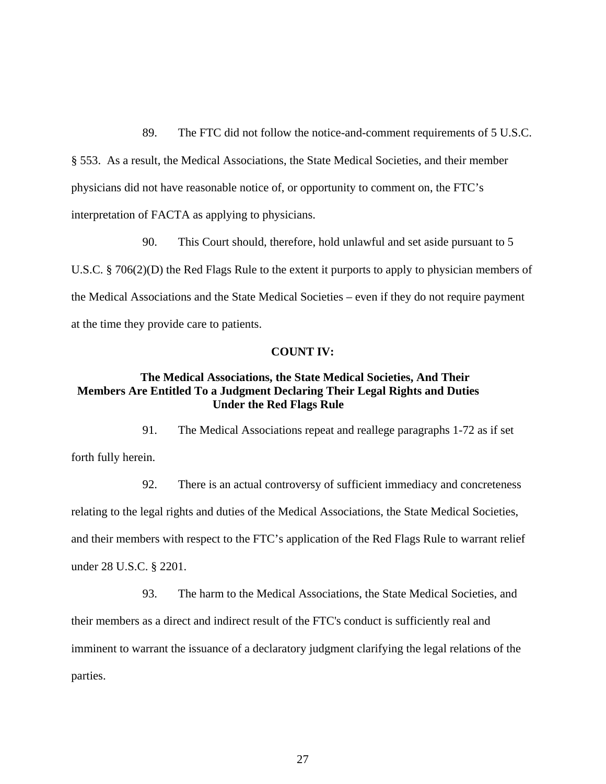89. The FTC did not follow the notice-and-comment requirements of 5 U.S.C. § 553. As a result, the Medical Associations, the State Medical Societies, and their member physicians did not have reasonable notice of, or opportunity to comment on, the FTC's interpretation of FACTA as applying to physicians.

90. This Court should, therefore, hold unlawful and set aside pursuant to 5 U.S.C. § 706(2)(D) the Red Flags Rule to the extent it purports to apply to physician members of the Medical Associations and the State Medical Societies – even if they do not require payment at the time they provide care to patients.

#### **COUNT IV:**

# **The Medical Associations, the State Medical Societies, And Their Members Are Entitled To a Judgment Declaring Their Legal Rights and Duties Under the Red Flags Rule**

91. The Medical Associations repeat and reallege paragraphs 1-72 as if set forth fully herein.

92. There is an actual controversy of sufficient immediacy and concreteness relating to the legal rights and duties of the Medical Associations, the State Medical Societies, and their members with respect to the FTC's application of the Red Flags Rule to warrant relief under 28 U.S.C. § 2201.

93. The harm to the Medical Associations, the State Medical Societies, and their members as a direct and indirect result of the FTC's conduct is sufficiently real and imminent to warrant the issuance of a declaratory judgment clarifying the legal relations of the parties.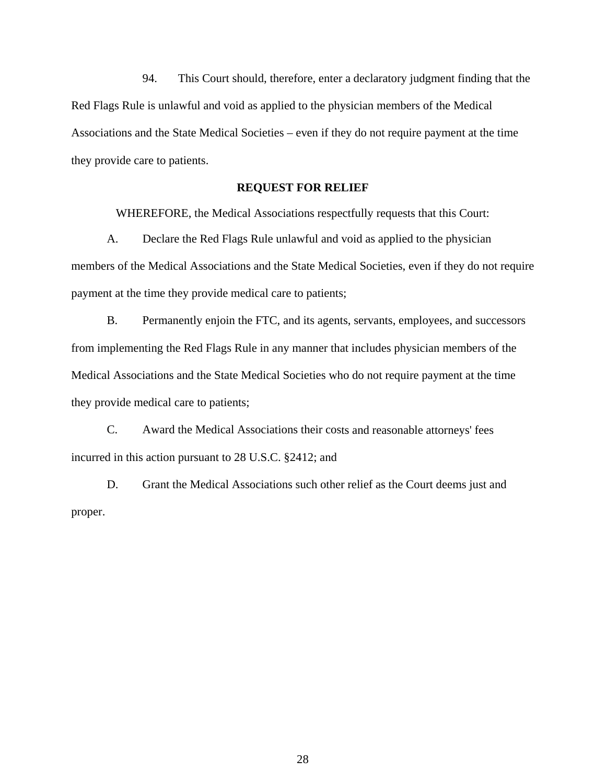94. This Court should, therefore, enter a declaratory judgment finding that the Red Flags Rule is unlawful and void as applied to the physician members of the Medical Associations and the State Medical Societies – even if they do not require payment at the time they provide care to patients.

# **REQUEST FOR RELIEF**

WHEREFORE, the Medical Associations respectfully requests that this Court:

A. Declare the Red Flags Rule unlawful and void as applied to the physician members of the Medical Associations and the State Medical Societies, even if they do not require payment at the time they provide medical care to patients;

B. Permanently enjoin the FTC, and its agents, servants, employees, and successors from implementing the Red Flags Rule in any manner that includes physician members of the Medical Associations and the State Medical Societies who do not require payment at the time they provide medical care to patients;

C. Award the Medical Associations their costs and reasonable attorneys' fees incurred in this action pursuant to 28 U.S.C. §2412; and

D. Grant the Medical Associations such other relief as the Court deems just and proper.